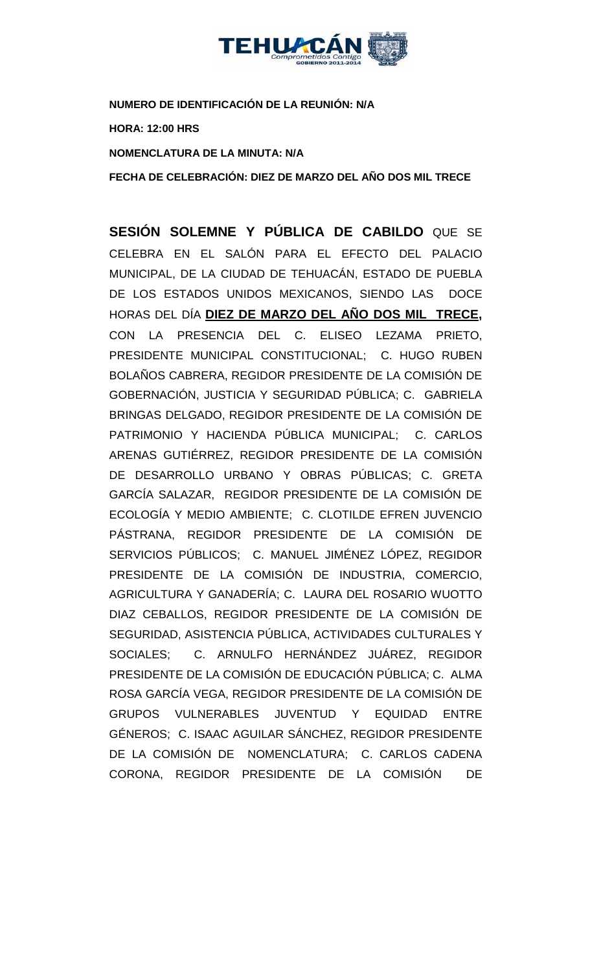

**NUMERO DE IDENTIFICACIÓN DE LA REUNIÓN: N/A HORA: 12:00 HRS NOMENCLATURA DE LA MINUTA: N/A**

**FECHA DE CELEBRACIÓN: DIEZ DE MARZO DEL AÑO DOS MIL TRECE** 

**SESIÓN SOLEMNE Y PÚBLICA DE CABILDO** QUE SE CELEBRA EN EL SALÓN PARA EL EFECTO DEL PALACIO MUNICIPAL, DE LA CIUDAD DE TEHUACÁN, ESTADO DE PUEBLA DE LOS ESTADOS UNIDOS MEXICANOS, SIENDO LAS DOCE HORAS DEL DÍA **DIEZ DE MARZO DEL AÑO DOS MIL TRECE,** CON LA PRESENCIA DEL C. ELISEO LEZAMA PRIETO, PRESIDENTE MUNICIPAL CONSTITUCIONAL; C. HUGO RUBEN BOLAÑOS CABRERA, REGIDOR PRESIDENTE DE LA COMISIÓN DE GOBERNACIÓN, JUSTICIA Y SEGURIDAD PÚBLICA; C. GABRIELA BRINGAS DELGADO, REGIDOR PRESIDENTE DE LA COMISIÓN DE PATRIMONIO Y HACIENDA PÚBLICA MUNICIPAL; C. CARLOS ARENAS GUTIÉRREZ, REGIDOR PRESIDENTE DE LA COMISIÓN DE DESARROLLO URBANO Y OBRAS PÚBLICAS; C. GRETA GARCÍA SALAZAR, REGIDOR PRESIDENTE DE LA COMISIÓN DE ECOLOGÍA Y MEDIO AMBIENTE; C. CLOTILDE EFREN JUVENCIO PÁSTRANA, REGIDOR PRESIDENTE DE LA COMISIÓN DE SERVICIOS PÚBLICOS; C. MANUEL JIMÉNEZ LÓPEZ, REGIDOR PRESIDENTE DE LA COMISIÓN DE INDUSTRIA, COMERCIO, AGRICULTURA Y GANADERÍA; C. LAURA DEL ROSARIO WUOTTO DIAZ CEBALLOS, REGIDOR PRESIDENTE DE LA COMISIÓN DE SEGURIDAD, ASISTENCIA PÚBLICA, ACTIVIDADES CULTURALES Y SOCIALES; C. ARNULFO HERNÁNDEZ JUÁREZ, REGIDOR PRESIDENTE DE LA COMISIÓN DE EDUCACIÓN PÚBLICA; C. ALMA ROSA GARCÍA VEGA, REGIDOR PRESIDENTE DE LA COMISIÓN DE GRUPOS VULNERABLES JUVENTUD Y EQUIDAD ENTRE GÉNEROS; C. ISAAC AGUILAR SÁNCHEZ, REGIDOR PRESIDENTE DE LA COMISIÓN DE NOMENCLATURA; C. CARLOS CADENA CORONA, REGIDOR PRESIDENTE DE LA COMISIÓN DE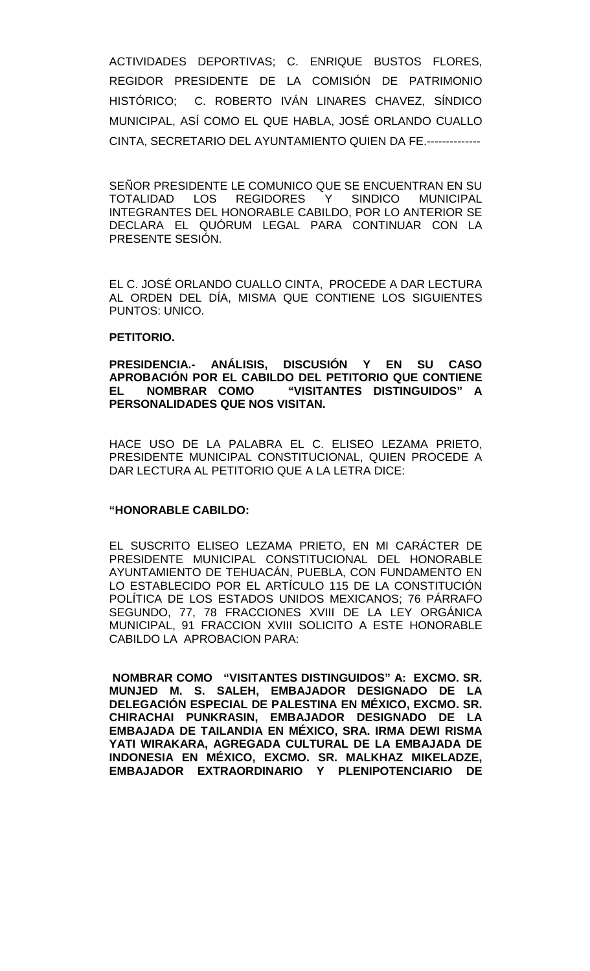ACTIVIDADES DEPORTIVAS; C. ENRIQUE BUSTOS FLORES, REGIDOR PRESIDENTE DE LA COMISIÓN DE PATRIMONIO HISTÓRICO; C. ROBERTO IVÁN LINARES CHAVEZ, SÍNDICO MUNICIPAL, ASÍ COMO EL QUE HABLA, JOSÉ ORLANDO CUALLO CINTA, SECRETARIO DEL AYUNTAMIENTO QUIEN DA FE.--------------

SEÑOR PRESIDENTE LE COMUNICO QUE SE ENCUENTRAN EN SU TOTALIDAD LOS REGIDORES Y SINDICO MUNICIPAL INTEGRANTES DEL HONORABLE CABILDO, POR LO ANTERIOR SE DECLARA EL QUÓRUM LEGAL PARA CONTINUAR CON LA PRESENTE SESIÓN.

EL C. JOSÉ ORLANDO CUALLO CINTA, PROCEDE A DAR LECTURA AL ORDEN DEL DÍA, MISMA QUE CONTIENE LOS SIGUIENTES PUNTOS: UNICO.

### **PETITORIO.**

**PRESIDENCIA.- ANÁLISIS, DISCUSIÓN Y EN SU CASO APROBACIÓN POR EL CABILDO DEL PETITORIO QUE CONTIENE EL NOMBRAR COMO "VISITANTES DISTINGUIDOS" A PERSONALIDADES QUE NOS VISITAN.**

HACE USO DE LA PALABRA EL C. ELISEO LEZAMA PRIETO, PRESIDENTE MUNICIPAL CONSTITUCIONAL, QUIEN PROCEDE A DAR LECTURA AL PETITORIO QUE A LA LETRA DICE:

## **"HONORABLE CABILDO:**

EL SUSCRITO ELISEO LEZAMA PRIETO, EN MI CARÁCTER DE PRESIDENTE MUNICIPAL CONSTITUCIONAL DEL HONORABLE AYUNTAMIENTO DE TEHUACÁN, PUEBLA, CON FUNDAMENTO EN LO ESTABLECIDO POR EL ARTÍCULO 115 DE LA CONSTITUCIÓN POLÍTICA DE LOS ESTADOS UNIDOS MEXICANOS; 76 PÁRRAFO SEGUNDO, 77, 78 FRACCIONES XVIII DE LA LEY ORGÁNICA MUNICIPAL, 91 FRACCION XVIII SOLICITO A ESTE HONORABLE CABILDO LA APROBACION PARA:

**NOMBRAR COMO "VISITANTES DISTINGUIDOS" A: EXCMO. SR. MUNJED M. S. SALEH, EMBAJADOR DESIGNADO DE LA DELEGACIÓN ESPECIAL DE PALESTINA EN MÉXICO, EXCMO. SR. CHIRACHAI PUNKRASIN, EMBAJADOR DESIGNADO DE LA EMBAJADA DE TAILANDIA EN MÉXICO, SRA. IRMA DEWI RISMA YATI WIRAKARA, AGREGADA CULTURAL DE LA EMBAJADA DE INDONESIA EN MÉXICO, EXCMO. SR. MALKHAZ MIKELADZE, EMBAJADOR EXTRAORDINARIO Y PLENIPOTENCIARIO DE**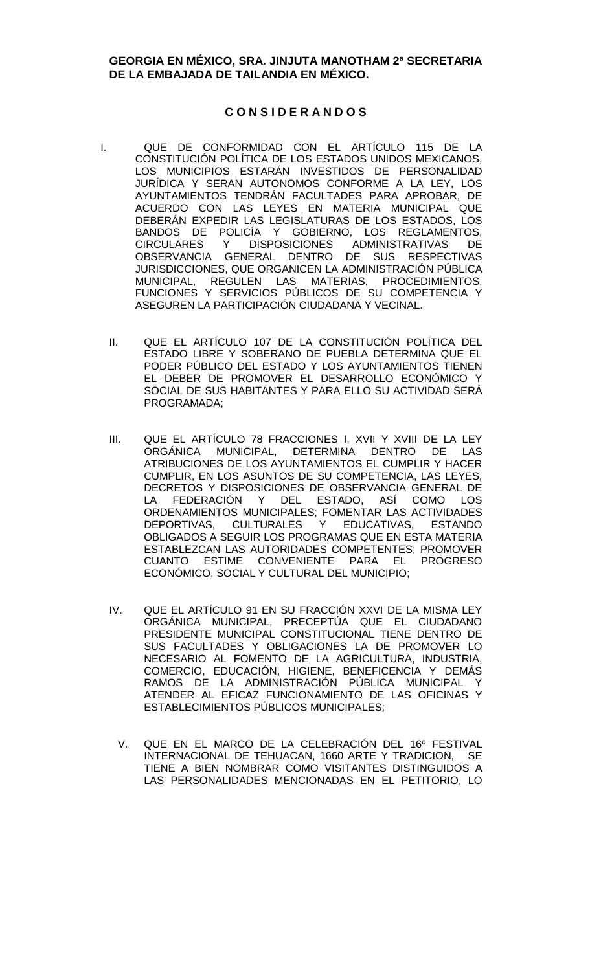## **GEORGIA EN MÉXICO, SRA. JINJUTA MANOTHAM 2ª SECRETARIA DE LA EMBAJADA DE TAILANDIA EN MÉXICO.**

## **C O N S I D E R A N D O S**

- I. QUE DE CONFORMIDAD CON EL ARTÍCULO 115 DE LA CONSTITUCIÓN POLÍTICA DE LOS ESTADOS UNIDOS MEXICANOS, LOS MUNICIPIOS ESTARÁN INVESTIDOS DE PERSONALIDAD JURÍDICA Y SERAN AUTONOMOS CONFORME A LA LEY, LOS AYUNTAMIENTOS TENDRÁN FACULTADES PARA APROBAR, DE ACUERDO CON LAS LEYES EN MATERIA MUNICIPAL QUE DEBERÁN EXPEDIR LAS LEGISLATURAS DE LOS ESTADOS, LOS BANDOS DE POLICÍA Y GOBIERNO, LOS REGLAMENTOS, CIRCULARES Y DISPOSICIONES ADMINISTRATIVAS DE OBSERVANCIA GENERAL DENTRO DE SUS RESPECTIVAS JURISDICCIONES, QUE ORGANICEN LA ADMINISTRACIÓN PÚBLICA MUNICIPAL, REGULEN LAS MATERIAS, PROCEDIMIENTOS, FUNCIONES Y SERVICIOS PÚBLICOS DE SU COMPETENCIA Y ASEGUREN LA PARTICIPACIÓN CIUDADANA Y VECINAL.
	- II. QUE EL ARTÍCULO 107 DE LA CONSTITUCIÓN POLÍTICA DEL ESTADO LIBRE Y SOBERANO DE PUEBLA DETERMINA QUE EL PODER PÚBLICO DEL ESTADO Y LOS AYUNTAMIENTOS TIENEN EL DEBER DE PROMOVER EL DESARROLLO ECONÓMICO Y SOCIAL DE SUS HABITANTES Y PARA ELLO SU ACTIVIDAD SERÁ PROGRAMADA;
	- III. QUE EL ARTÍCULO 78 FRACCIONES I, XVII Y XVIII DE LA LEY ORGÁNICA MUNICIPAL, DETERMINA DENTRO DE LAS ATRIBUCIONES DE LOS AYUNTAMIENTOS EL CUMPLIR Y HACER CUMPLIR, EN LOS ASUNTOS DE SU COMPETENCIA, LAS LEYES, DECRETOS Y DISPOSICIONES DE OBSERVANCIA GENERAL DE LA FEDERACIÓN Y DEL ESTADO, ASÍ COMO LOS ORDENAMIENTOS MUNICIPALES; FOMENTAR LAS ACTIVIDADES DEPORTIVAS, CULTURALES Y EDUCATIVAS, ESTANDO OBLIGADOS A SEGUIR LOS PROGRAMAS QUE EN ESTA MATERIA ESTABLEZCAN LAS AUTORIDADES COMPETENTES; PROMOVER CUANTO ESTIME CONVENIENTE PARA EL PROGRESO ECONÓMICO, SOCIAL Y CULTURAL DEL MUNICIPIO;
	- IV. QUE EL ARTÍCULO 91 EN SU FRACCIÓN XXVI DE LA MISMA LEY ORGÁNICA MUNICIPAL, PRECEPTÚA QUE EL CIUDADANO PRESIDENTE MUNICIPAL CONSTITUCIONAL TIENE DENTRO DE SUS FACULTADES Y OBLIGACIONES LA DE PROMOVER LO NECESARIO AL FOMENTO DE LA AGRICULTURA, INDUSTRIA, COMERCIO, EDUCACIÓN, HIGIENE, BENEFICENCIA Y DEMÁS RAMOS DE LA ADMINISTRACIÓN PÚBLICA MUNICIPAL Y ATENDER AL EFICAZ FUNCIONAMIENTO DE LAS OFICINAS Y ESTABLECIMIENTOS PÚBLICOS MUNICIPALES;
		- V. QUE EN EL MARCO DE LA CELEBRACIÓN DEL 16º FESTIVAL INTERNACIONAL DE TEHUACAN, 1660 ARTE Y TRADICION, SE TIENE A BIEN NOMBRAR COMO VISITANTES DISTINGUIDOS A LAS PERSONALIDADES MENCIONADAS EN EL PETITORIO, LO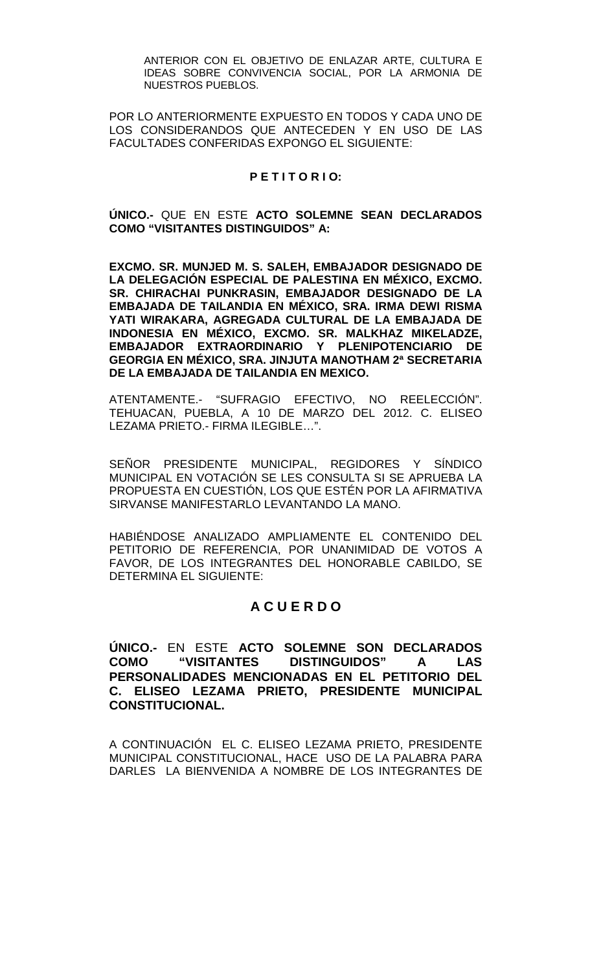ANTERIOR CON EL OBJETIVO DE ENLAZAR ARTE, CULTURA E IDEAS SOBRE CONVIVENCIA SOCIAL, POR LA ARMONIA DE NUESTROS PUEBLOS.

POR LO ANTERIORMENTE EXPUESTO EN TODOS Y CADA UNO DE LOS CONSIDERANDOS QUE ANTECEDEN Y EN USO DE LAS FACULTADES CONFERIDAS EXPONGO EL SIGUIENTE:

## **P E T I T O R I O:**

**ÚNICO.-** QUE EN ESTE **ACTO SOLEMNE SEAN DECLARADOS COMO "VISITANTES DISTINGUIDOS" A:**

**EXCMO. SR. MUNJED M. S. SALEH, EMBAJADOR DESIGNADO DE LA DELEGACIÓN ESPECIAL DE PALESTINA EN MÉXICO, EXCMO. SR. CHIRACHAI PUNKRASIN, EMBAJADOR DESIGNADO DE LA EMBAJADA DE TAILANDIA EN MÉXICO, SRA. IRMA DEWI RISMA YATI WIRAKARA, AGREGADA CULTURAL DE LA EMBAJADA DE INDONESIA EN MÉXICO, EXCMO. SR. MALKHAZ MIKELADZE, EMBAJADOR EXTRAORDINARIO Y PLENIPOTENCIARIO DE GEORGIA EN MÉXICO, SRA. JINJUTA MANOTHAM 2ª SECRETARIA DE LA EMBAJADA DE TAILANDIA EN MEXICO.**

ATENTAMENTE.- "SUFRAGIO EFECTIVO, NO REELECCIÓN". TEHUACAN, PUEBLA, A 10 DE MARZO DEL 2012. C. ELISEO LEZAMA PRIETO.- FIRMA ILEGIBLE…".

SEÑOR PRESIDENTE MUNICIPAL, REGIDORES Y SÍNDICO MUNICIPAL EN VOTACIÓN SE LES CONSULTA SI SE APRUEBA LA PROPUESTA EN CUESTIÓN, LOS QUE ESTÉN POR LA AFIRMATIVA SIRVANSE MANIFESTARLO LEVANTANDO LA MANO.

HABIÉNDOSE ANALIZADO AMPLIAMENTE EL CONTENIDO DEL PETITORIO DE REFERENCIA, POR UNANIMIDAD DE VOTOS A FAVOR, DE LOS INTEGRANTES DEL HONORABLE CABILDO, SE DETERMINA EL SIGUIENTE:

## **A C U E R D O**

**ÚNICO.-** EN ESTE **ACTO SOLEMNE SON DECLARADOS COMO "VISITANTES DISTINGUIDOS" A LAS PERSONALIDADES MENCIONADAS EN EL PETITORIO DEL C. ELISEO LEZAMA PRIETO, PRESIDENTE MUNICIPAL CONSTITUCIONAL.**

A CONTINUACIÓN EL C. ELISEO LEZAMA PRIETO, PRESIDENTE MUNICIPAL CONSTITUCIONAL, HACE USO DE LA PALABRA PARA DARLES LA BIENVENIDA A NOMBRE DE LOS INTEGRANTES DE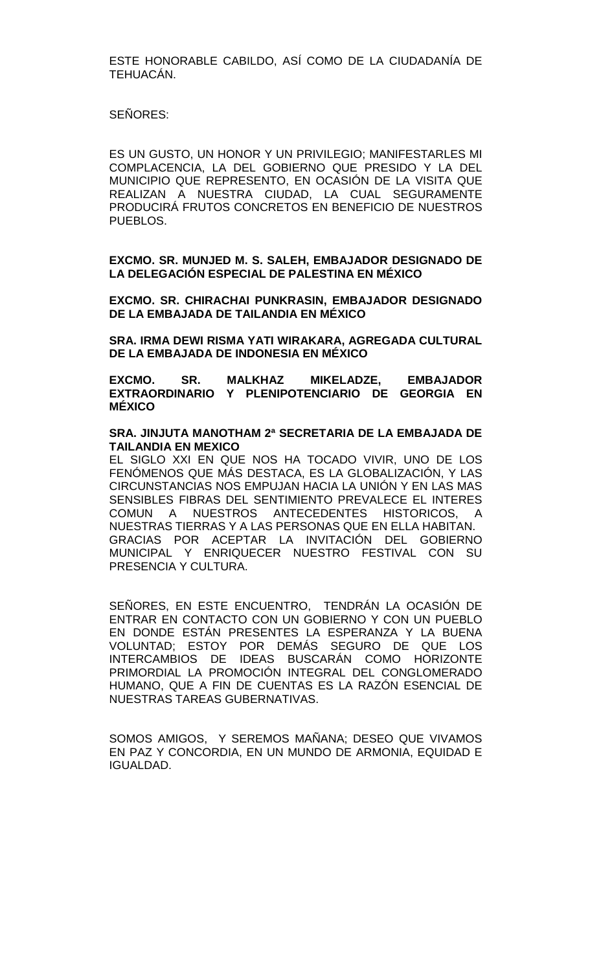ESTE HONORABLE CABILDO, ASÍ COMO DE LA CIUDADANÍA DE TEHUACÁN.

SEÑORES:

ES UN GUSTO, UN HONOR Y UN PRIVILEGIO; MANIFESTARLES MI COMPLACENCIA, LA DEL GOBIERNO QUE PRESIDO Y LA DEL MUNICIPIO QUE REPRESENTO, EN OCASIÓN DE LA VISITA QUE REALIZAN A NUESTRA CIUDAD, LA CUAL SEGURAMENTE PRODUCIRÁ FRUTOS CONCRETOS EN BENEFICIO DE NUESTROS PUEBLOS.

**EXCMO. SR. MUNJED M. S. SALEH, EMBAJADOR DESIGNADO DE LA DELEGACIÓN ESPECIAL DE PALESTINA EN MÉXICO**

**EXCMO. SR. CHIRACHAI PUNKRASIN, EMBAJADOR DESIGNADO DE LA EMBAJADA DE TAILANDIA EN MÉXICO**

**SRA. IRMA DEWI RISMA YATI WIRAKARA, AGREGADA CULTURAL DE LA EMBAJADA DE INDONESIA EN MÉXICO**

**EXCMO. SR. MALKHAZ MIKELADZE, EMBAJADOR EXTRAORDINARIO Y PLENIPOTENCIARIO DE GEORGIA EN MÉXICO**

**SRA. JINJUTA MANOTHAM 2ª SECRETARIA DE LA EMBAJADA DE TAILANDIA EN MEXICO**

EL SIGLO XXI EN QUE NOS HA TOCADO VIVIR, UNO DE LOS FENÓMENOS QUE MÁS DESTACA, ES LA GLOBALIZACIÓN, Y LAS CIRCUNSTANCIAS NOS EMPUJAN HACIA LA UNIÓN Y EN LAS MAS SENSIBLES FIBRAS DEL SENTIMIENTO PREVALECE EL INTERES COMUN A NUESTROS ANTECEDENTES HISTORICOS, A NUESTRAS TIERRAS Y A LAS PERSONAS QUE EN ELLA HABITAN. GRACIAS POR ACEPTAR LA INVITACIÓN DEL GOBIERNO MUNICIPAL Y ENRIQUECER NUESTRO FESTIVAL CON SU PRESENCIA Y CULTURA.

SEÑORES, EN ESTE ENCUENTRO, TENDRÁN LA OCASIÓN DE ENTRAR EN CONTACTO CON UN GOBIERNO Y CON UN PUEBLO EN DONDE ESTÁN PRESENTES LA ESPERANZA Y LA BUENA VOLUNTAD; ESTOY POR DEMÁS SEGURO DE QUE LOS INTERCAMBIOS DE IDEAS BUSCARÁN COMO HORIZONTE PRIMORDIAL LA PROMOCIÓN INTEGRAL DEL CONGLOMERADO HUMANO, QUE A FIN DE CUENTAS ES LA RAZÓN ESENCIAL DE NUESTRAS TAREAS GUBERNATIVAS.

SOMOS AMIGOS, Y SEREMOS MAÑANA; DESEO QUE VIVAMOS EN PAZ Y CONCORDIA, EN UN MUNDO DE ARMONIA, EQUIDAD E IGUALDAD.